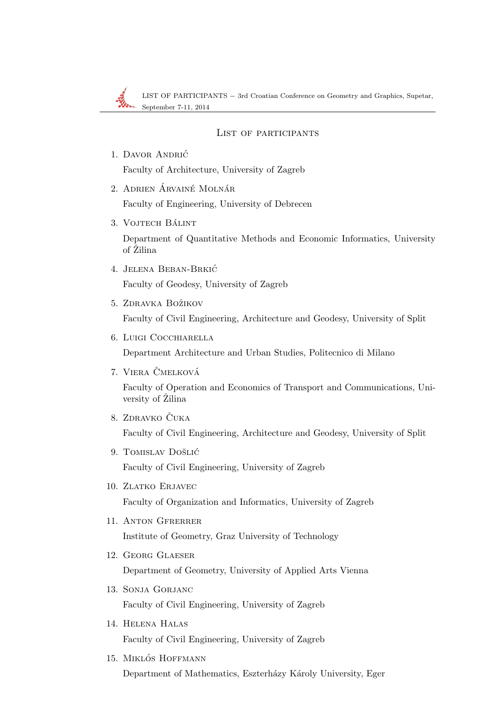LIST OF PARTICIPANTS − 3rd Croatian Conference on Geometry and Graphics, Supetar, September 7-11, 2014

## List of participants

- 1. Davor Andric´ Faculty of Architecture, University of Zagreb
- 2. Adrien Árvainé Molnár

Faculty of Engineering, University of Debrecen

3. VOJTECH BÁLINT

Department of Quantitative Methods and Economic Informatics, University of Žilina

4. JELENA BEBAN-BRKIĆ

Faculty of Geodesy, University of Zagreb

5. ZDRAVKA BOŽIKOV

Faculty of Civil Engineering, Architecture and Geodesy, University of Split

6. Luigi Cocchiarella

Department Architecture and Urban Studies, Politecnico di Milano

7. VIERA ČMELKOVÁ

Faculty of Operation and Economics of Transport and Communications, University of Žilina

- 8. ZDRAVKO ČUKA Faculty of Civil Engineering, Architecture and Geodesy, University of Split
- 9. TOMISLAV DOŠLIĆ Faculty of Civil Engineering, University of Zagreb
- 10. Zlatko Erjavec Faculty of Organization and Informatics, University of Zagreb
- 11. Anton Gfrerrer Institute of Geometry, Graz University of Technology
- 12. Georg Glaeser Department of Geometry, University of Applied Arts Vienna
- 13. Sonja Gorjanc Faculty of Civil Engineering, University of Zagreb
- 14. Helena Halas Faculty of Civil Engineering, University of Zagreb
- 15. MIKLÓS HOFFMANN

Department of Mathematics, Eszterházy Károly University, Eger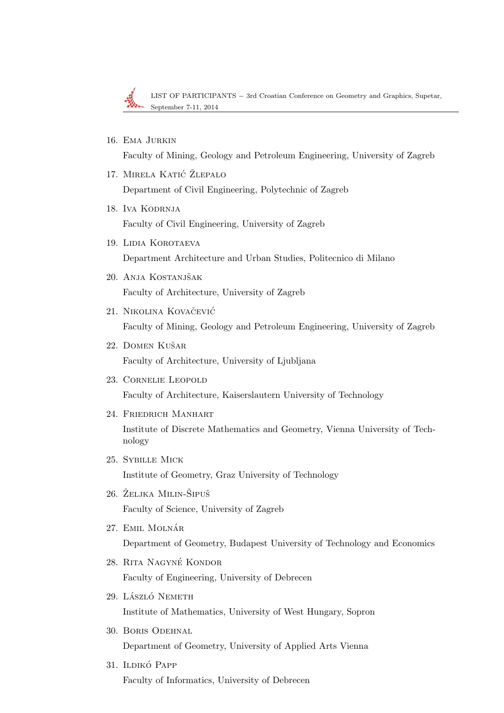

LIST OF PARTICIPANTS − 3rd Croatian Conference on Geometry and Graphics, Supetar, September 7-11, 2014

16. Ema Jurkin

Faculty of Mining, Geology and Petroleum Engineering, University of Zagreb

- 17. MIRELA KATIĆ ŽLEPALO Department of Civil Engineering, Polytechnic of Zagreb
- 18. Iva Kodrnja Faculty of Civil Engineering, University of Zagreb
- 19. Lidia Korotaeva Department Architecture and Urban Studies, Politecnico di Milano
- 20. Anja Kostanjšak Faculty of Architecture, University of Zagreb
- 21. NIKOLINA KOVAČEVIĆ Faculty of Mining, Geology and Petroleum Engineering, University of Zagreb
- 22. DOMEN KUŠAR Faculty of Architecture, University of Ljubljana
- 23. Cornelie Leopold Faculty of Architecture, Kaiserslautern University of Technology
- 24. Friedrich Manhart

Institute of Discrete Mathematics and Geometry, Vienna University of Technology

- 25. Sybille Mick Institute of Geometry, Graz University of Technology
- 26. ŽELJKA MILIN-ŠIPUŠ Faculty of Science, University of Zagreb
- 27. EMIL MOLNÁR Department of Geometry, Budapest University of Technology and Economics
- 28. Rita Nagyne Kondor ´ Faculty of Engineering, University of Debrecen
- 29. LÁSZLÓ NEMETH Institute of Mathematics, University of West Hungary, Sopron
- 30. Boris Odehnal Department of Geometry, University of Applied Arts Vienna
- 31. Ildikó Papp Faculty of Informatics, University of Debrecen